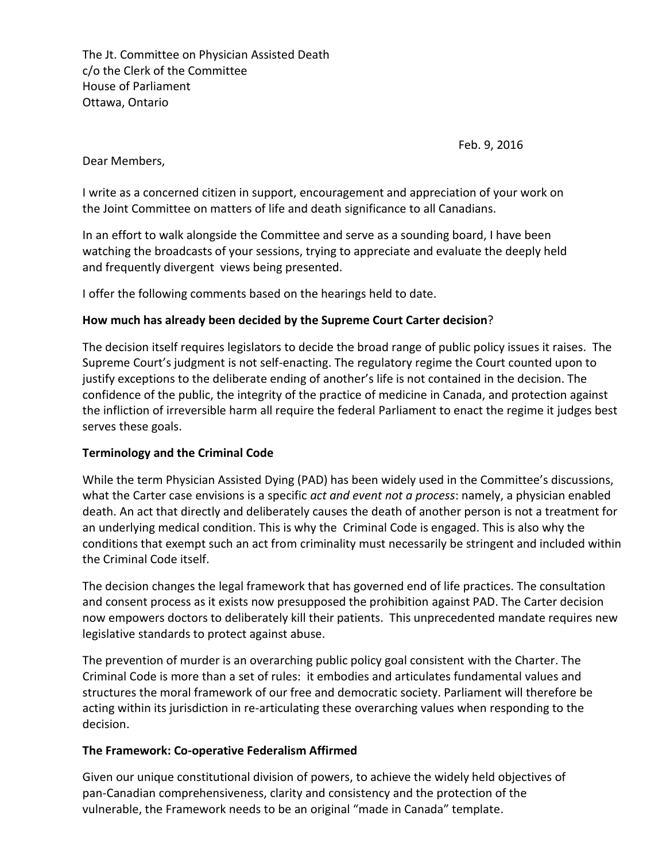The Jt. Committee on Physician Assisted Death c/o the Clerk of the Committee House of Parliament Ottawa, Ontario

Feb. 9, 2016

Dear Members,

I write as a concerned citizen in support, encouragement and appreciation of your work on the Joint Committee on matters of life and death significance to all Canadians.

In an effort to walk alongside the Committee and serve as a sounding board, I have been watching the broadcasts of your sessions, trying to appreciate and evaluate the deeply held and frequently divergent views being presented.

I offer the following comments based on the hearings held to date.

# **How much has already been decided by the Supreme Court Carter decision**?

The decision itself requires legislators to decide the broad range of public policy issues it raises. The Supreme Court's judgment is not self-enacting. The regulatory regime the Court counted upon to justify exceptions to the deliberate ending of another's life is not contained in the decision. The confidence of the public, the integrity of the practice of medicine in Canada, and protection against the infliction of irreversible harm all require the federal Parliament to enact the regime it judges best serves these goals.

#### **Terminology and the Criminal Code**

While the term Physician Assisted Dying (PAD) has been widely used in the Committee's discussions, what the Carter case envisions is a specific *act and event not a process*: namely, a physician enabled death. An act that directly and deliberately causes the death of another person is not a treatment for an underlying medical condition. This is why the Criminal Code is engaged. This is also why the conditions that exempt such an act from criminality must necessarily be stringent and included within the Criminal Code itself.

The decision changes the legal framework that has governed end of life practices. The consultation and consent process as it exists now presupposed the prohibition against PAD. The Carter decision now empowers doctors to deliberately kill their patients. This unprecedented mandate requires new legislative standards to protect against abuse.

The prevention of murder is an overarching public policy goal consistent with the Charter. The Criminal Code is more than a set of rules: it embodies and articulates fundamental values and structures the moral framework of our free and democratic society. Parliament will therefore be acting within its jurisdiction in re-articulating these overarching values when responding to the decision.

#### **The Framework: Co-operative Federalism Affirmed**

Given our unique constitutional division of powers, to achieve the widely held objectives of pan-Canadian comprehensiveness, clarity and consistency and the protection of the vulnerable, the Framework needs to be an original "made in Canada" template.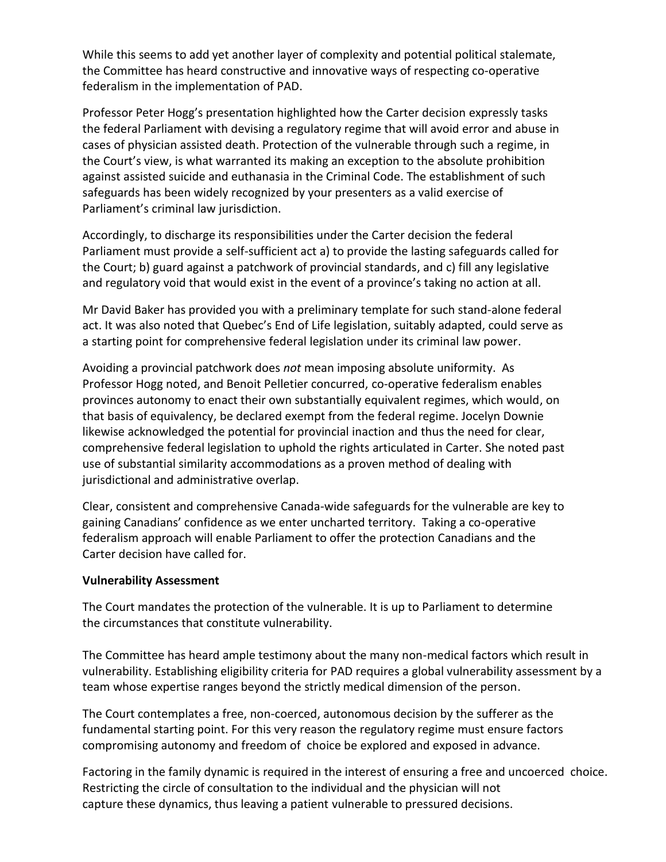While this seems to add yet another layer of complexity and potential political stalemate, the Committee has heard constructive and innovative ways of respecting co-operative federalism in the implementation of PAD.

Professor Peter Hogg's presentation highlighted how the Carter decision expressly tasks the federal Parliament with devising a regulatory regime that will avoid error and abuse in cases of physician assisted death. Protection of the vulnerable through such a regime, in the Court's view, is what warranted its making an exception to the absolute prohibition against assisted suicide and euthanasia in the Criminal Code. The establishment of such safeguards has been widely recognized by your presenters as a valid exercise of Parliament's criminal law jurisdiction.

Accordingly, to discharge its responsibilities under the Carter decision the federal Parliament must provide a self-sufficient act a) to provide the lasting safeguards called for the Court; b) guard against a patchwork of provincial standards, and c) fill any legislative and regulatory void that would exist in the event of a province's taking no action at all.

Mr David Baker has provided you with a preliminary template for such stand-alone federal act. It was also noted that Quebec's End of Life legislation, suitably adapted, could serve as a starting point for comprehensive federal legislation under its criminal law power.

Avoiding a provincial patchwork does *not* mean imposing absolute uniformity. As Professor Hogg noted, and Benoit Pelletier concurred, co-operative federalism enables provinces autonomy to enact their own substantially equivalent regimes, which would, on that basis of equivalency, be declared exempt from the federal regime. Jocelyn Downie likewise acknowledged the potential for provincial inaction and thus the need for clear, comprehensive federal legislation to uphold the rights articulated in Carter. She noted past use of substantial similarity accommodations as a proven method of dealing with jurisdictional and administrative overlap.

Clear, consistent and comprehensive Canada-wide safeguards for the vulnerable are key to gaining Canadians' confidence as we enter uncharted territory. Taking a co-operative federalism approach will enable Parliament to offer the protection Canadians and the Carter decision have called for.

#### **Vulnerability Assessment**

The Court mandates the protection of the vulnerable. It is up to Parliament to determine the circumstances that constitute vulnerability.

The Committee has heard ample testimony about the many non-medical factors which result in vulnerability. Establishing eligibility criteria for PAD requires a global vulnerability assessment by a team whose expertise ranges beyond the strictly medical dimension of the person.

The Court contemplates a free, non-coerced, autonomous decision by the sufferer as the fundamental starting point. For this very reason the regulatory regime must ensure factors compromising autonomy and freedom of choice be explored and exposed in advance.

Factoring in the family dynamic is required in the interest of ensuring a free and uncoerced choice. Restricting the circle of consultation to the individual and the physician will not capture these dynamics, thus leaving a patient vulnerable to pressured decisions.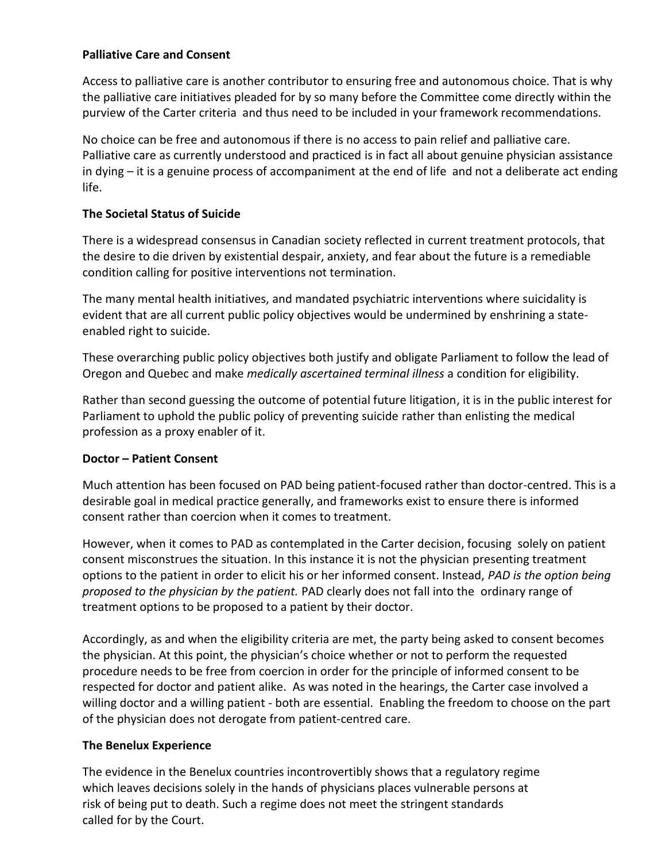### **Palliative Care and Consent**

Access to palliative care is another contributor to ensuring free and autonomous choice. That is why the palliative care initiatives pleaded for by so many before the Committee come directly within the purview of the Carter criteria and thus need to be included in your framework recommendations.

No choice can be free and autonomous if there is no access to pain relief and palliative care. Palliative care as currently understood and practiced is in fact all about genuine physician assistance in dying – it is a genuine process of accompaniment at the end of life and not a deliberate act ending life.

# **The Societal Status of Suicide**

There is a widespread consensus in Canadian society reflected in current treatment protocols, that the desire to die driven by existential despair, anxiety, and fear about the future is a remediable condition calling for positive interventions not termination.

The many mental health initiatives, and mandated psychiatric interventions where suicidality is evident that are all current public policy objectives would be undermined by enshrining a stateenabled right to suicide.

These overarching public policy objectives both justify and obligate Parliament to follow the lead of Oregon and Quebec and make *medically ascertained terminal illness* a condition for eligibility.

Rather than second guessing the outcome of potential future litigation, it is in the public interest for Parliament to uphold the public policy of preventing suicide rather than enlisting the medical profession as a proxy enabler of it.

# **Doctor – Patient Consent**

Much attention has been focused on PAD being patient-focused rather than doctor-centred. This is a desirable goal in medical practice generally, and frameworks exist to ensure there is informed consent rather than coercion when it comes to treatment.

However, when it comes to PAD as contemplated in the Carter decision, focusing solely on patient consent misconstrues the situation. In this instance it is not the physician presenting treatment options to the patient in order to elicit his or her informed consent. Instead, *PAD is the option being proposed to the physician by the patient.* PAD clearly does not fall into the ordinary range of treatment options to be proposed to a patient by their doctor.

Accordingly, as and when the eligibility criteria are met, the party being asked to consent becomes the physician. At this point, the physician's choice whether or not to perform the requested procedure needs to be free from coercion in order for the principle of informed consent to be respected for doctor and patient alike. As was noted in the hearings, the Carter case involved a willing doctor and a willing patient - both are essential. Enabling the freedom to choose on the part of the physician does not derogate from patient-centred care.

# **The Benelux Experience**

The evidence in the Benelux countries incontrovertibly shows that a regulatory regime which leaves decisions solely in the hands of physicians places vulnerable persons at risk of being put to death. Such a regime does not meet the stringent standards called for by the Court.